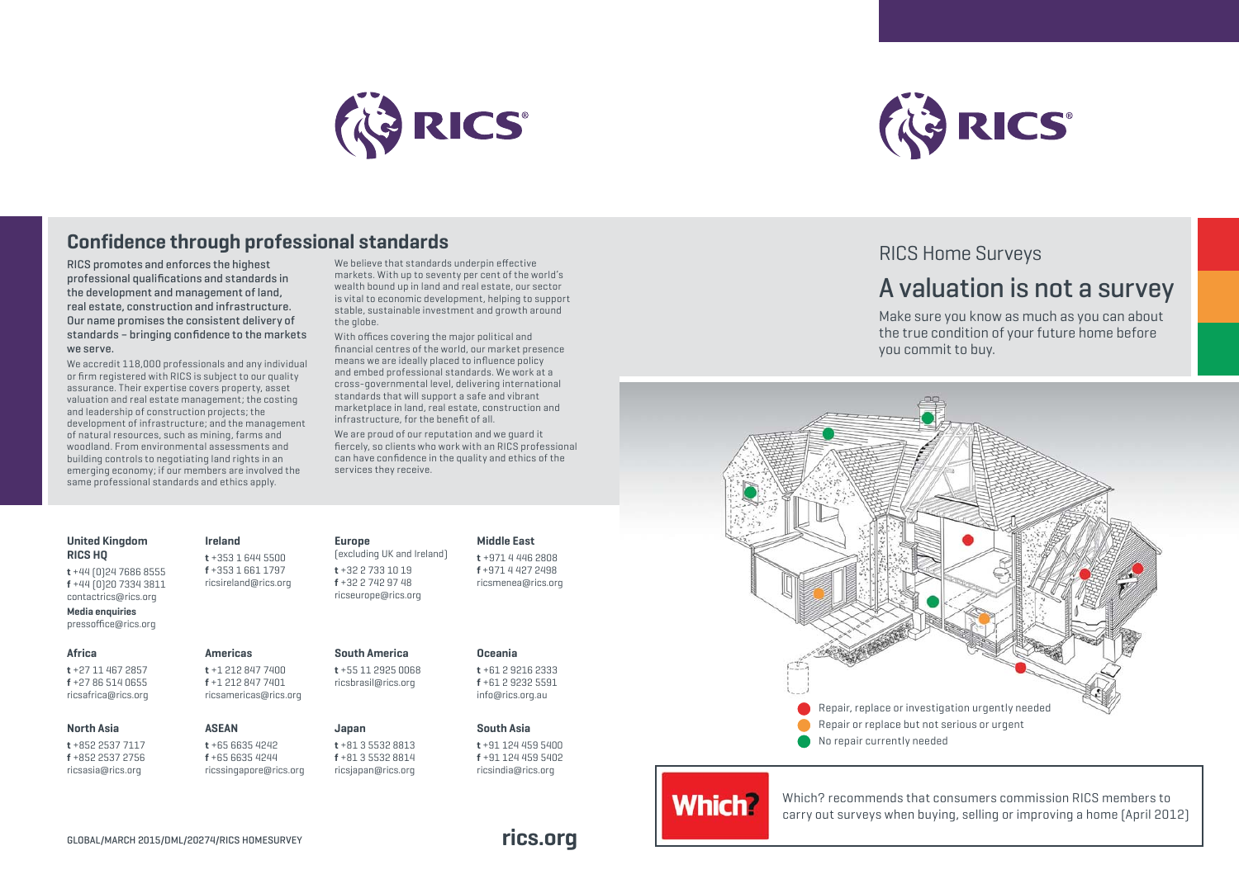

## **Confidence through professional standards**

RICS promotes and enforces the highest professional qualifications and standards in the development and management of land, real estate, construction and infrastructure. Our name promises the consistent delivery of standards – bringing confidence to the markets we serve.

We accredit 118,000 professionals and any individual or firm registered with RICS is subject to our quality assurance. Their expertise covers property, asset valuation and real estate management; the costing and leadership of construction projects; the development of infrastructure; and the management of natural resources, such as mining, farms and woodland. From environmental assessments and building controls to negotiating land rights in an emerging economy; if our members are involved the same professional standards and ethics apply.

We believe that standards underpin effective markets. With up to seventy per cent of the world's wealth bound up in land and real estate, our sector is vital to economic development, helping to support stable, sustainable investment and growth around the globe.

With offices covering the major political and financial centres of the world, our market presence means we are ideally placed to influence policy and embed professional standards. We work at a cross-governmental level, delivering international standards that will support a safe and vibrant marketplace in land, real estate, construction and infrastructure, for the benefit of all.

We are proud of our reputation and we guard it fiercely, so clients who work with an RICS professional can have confidence in the quality and ethics of the services they receive.

| <b>United Kingdom</b><br><b>RICS HO</b><br>$t + 44$ (0)24 7686 8555<br>f +44 [0] 20 7334 3811<br>contactrics@rics.org<br><b>Media enquiries</b><br>pressoffice@rics.org | Ireland<br>$t + 35316445500$<br>f +353 1 661 1797<br>ricsireland@rics.org             | <b>Europe</b><br>(excluding UK and Ireland)<br>$t + 32$ 2 733 10 19<br>f +32 2 742 97 48<br>ricseurope@rics.org | <b>Middle East</b><br>$+971$ 4446 2808<br>f +971 4 427 2498<br>ricsmenea@rics.org |
|-------------------------------------------------------------------------------------------------------------------------------------------------------------------------|---------------------------------------------------------------------------------------|-----------------------------------------------------------------------------------------------------------------|-----------------------------------------------------------------------------------|
| Africa<br>t +27 11 467 2857<br>$f + 27865140655$<br>ricsafrica@rics.org                                                                                                 | <b>Americas</b><br>$t + 1$ 212 847 7400<br>f +1 212 847 7401<br>ricsamericas@rics.org | <b>South America</b><br>$t + 55$ 11 2925 0068<br>ricsbrasil@rics.org                                            | Oceania<br>$t + 61$ 2 9216 2333<br>$f + 61$ 2 9232 5591<br>info@rics.org.au       |
| North Asia<br>t +852 2537 7117<br>f +852 2537 2756<br>ricsasia@rics.org                                                                                                 | <b>ASEAN</b><br>t +65 6635 4242<br>$f + 6566354244$<br>ricssingapore@rics.org         | Japan<br>t +81 3 5532 8813<br>$f + 81.355328814$<br>ricsjapan@rics.org                                          | South Asia<br>t +91 124 459 5400<br>f +91 124 459 5402<br>ricsindia@rics.org      |



### RICS Home Surveys

## A valuation is not a survey

Make sure you know as much as you can about the true condition of your future home before you commit to buy.



# **Which?**

Which? recommends that consumers commission RICS members to carry out surveys when buying, selling or improving a home (April 2012)